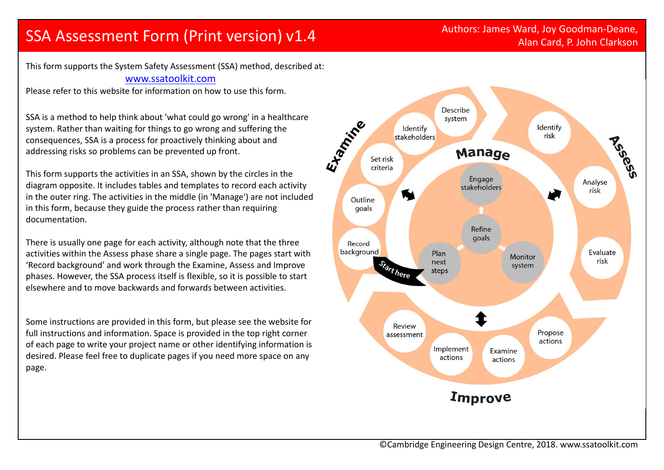# Authors: James Ward, Joy Goodman-Deane, SSA Assessment Form (Print version) v1.4<br>Alan Card, P. John Clarkson

Alan Card, P. John Clarkson

This form supports the System Safety Assessment (SSA) method, described at: www.ssatoolkit.com

Please refer to this website for information on how to use this form.

SSA is <sup>a</sup> method to help think about 'what could go wrong' in <sup>a</sup> healthcare system. Rather than waiting for things to go wrong and suffering the consequences, SSA is <sup>a</sup> process for proactively thinking about and addressing risks so problems can be prevented up front.

This form supports the activities in an SSA, shown by the circles in the diagram opposite. It includes tables and templates to record each activity in the outer ring. The activities in the middle (in 'Manage') are not included in this form, because they guide the process rather than requiring documentation.

There is usually one page for each activity, although note that the three activities within the Assess phase share <sup>a</sup> single page. The pages start with 'Record background' and work through the Examine, Assess and Improve phases. However, the SSA process itself is flexible, so it is possible to start elsewhere and to move backwards and forwards between activities.

Some instructions are provided in this form, but please see the website for full instructions and information. Space is provided in the top right corner of each page to write your project name or other identifying information is desired. Please feel free to duplicate pages if you need more space on any page.

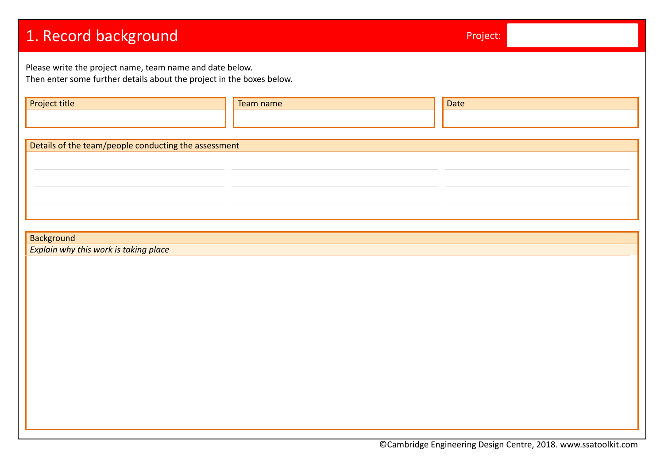| 1. Record background                                                                                                              |           | Project: |  |  |  |  |  |
|-----------------------------------------------------------------------------------------------------------------------------------|-----------|----------|--|--|--|--|--|
| Please write the project name, team name and date below.<br>Then enter some further details about the project in the boxes below. |           |          |  |  |  |  |  |
| Project title                                                                                                                     | Team name | Date     |  |  |  |  |  |
| Details of the team/people conducting the assessment                                                                              |           |          |  |  |  |  |  |
|                                                                                                                                   |           |          |  |  |  |  |  |
|                                                                                                                                   |           |          |  |  |  |  |  |
| <b>Background</b><br>Explain why this work is taking place                                                                        |           |          |  |  |  |  |  |
|                                                                                                                                   |           |          |  |  |  |  |  |
|                                                                                                                                   |           |          |  |  |  |  |  |
|                                                                                                                                   |           |          |  |  |  |  |  |
|                                                                                                                                   |           |          |  |  |  |  |  |
|                                                                                                                                   |           |          |  |  |  |  |  |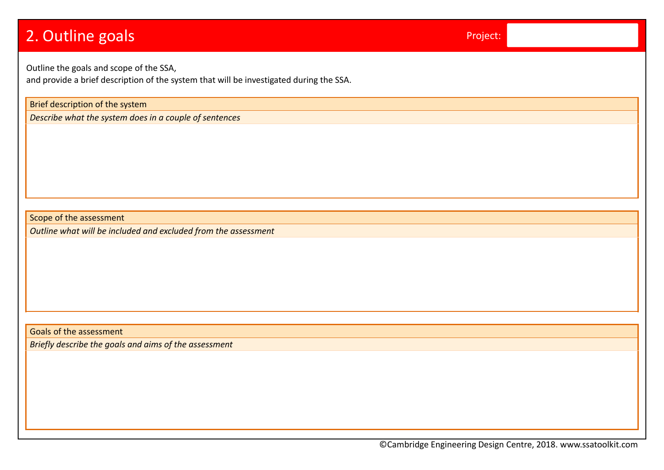| 2. Outline goals                                                                                                                   | Project: |  |  |  |  |  |  |
|------------------------------------------------------------------------------------------------------------------------------------|----------|--|--|--|--|--|--|
| Outline the goals and scope of the SSA,<br>and provide a brief description of the system that will be investigated during the SSA. |          |  |  |  |  |  |  |
| Brief description of the system                                                                                                    |          |  |  |  |  |  |  |
| Describe what the system does in a couple of sentences                                                                             |          |  |  |  |  |  |  |
|                                                                                                                                    |          |  |  |  |  |  |  |
|                                                                                                                                    |          |  |  |  |  |  |  |
|                                                                                                                                    |          |  |  |  |  |  |  |
|                                                                                                                                    |          |  |  |  |  |  |  |
| Scope of the assessment                                                                                                            |          |  |  |  |  |  |  |
| Outline what will be included and excluded from the assessment                                                                     |          |  |  |  |  |  |  |
|                                                                                                                                    |          |  |  |  |  |  |  |
|                                                                                                                                    |          |  |  |  |  |  |  |
|                                                                                                                                    |          |  |  |  |  |  |  |
|                                                                                                                                    |          |  |  |  |  |  |  |
|                                                                                                                                    |          |  |  |  |  |  |  |
|                                                                                                                                    |          |  |  |  |  |  |  |
| <b>Goals of the assessment</b>                                                                                                     |          |  |  |  |  |  |  |
| Briefly describe the goals and aims of the assessment                                                                              |          |  |  |  |  |  |  |
|                                                                                                                                    |          |  |  |  |  |  |  |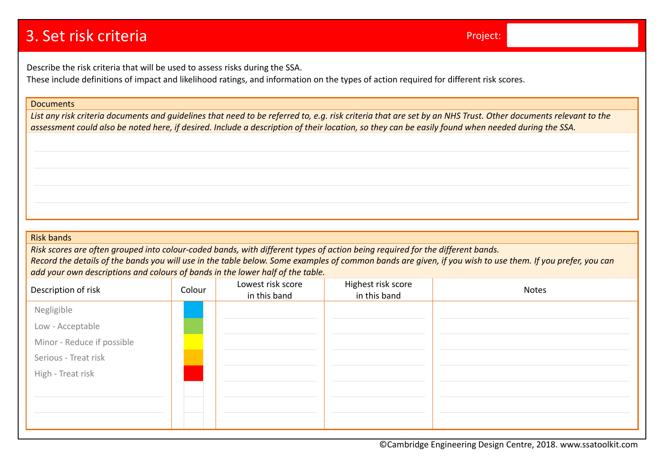# 3. Set risk criteria

Describe the risk criteria that will be used to assess risks during the SSA.

These include definitions of impact and likelihood ratings, and information on the types of action required for different risk scores.

#### **Documents**

List any risk criteria documents and guidelines that need to be referred to, e.g. risk criteria that are set by an NHS Trust. Other documents relevant to the assessment could also be noted here, if desired. Include a description of their location, so they can be easily found when needed during the SSA.

#### Risk bands

Risk scores are often grouped into colour-coded bands, with different types of action being required for the different bands. Record the details of the bands you will use in the table below. Some examples of common bands are given, if you wish to use them. If you prefer, you can *add your own descriptions and colours of bands in the lower half of the table.*

| Description of risk        | Colour | Lowest risk score<br>in this band | Highest risk score<br>in this band | <b>Notes</b> |
|----------------------------|--------|-----------------------------------|------------------------------------|--------------|
| Negligible                 |        |                                   |                                    |              |
| Low - Acceptable           |        |                                   |                                    |              |
| Minor - Reduce if possible |        |                                   |                                    |              |
| Serious - Treat risk       |        |                                   |                                    |              |
| High - Treat risk          |        |                                   |                                    |              |
|                            |        |                                   |                                    |              |
|                            |        |                                   |                                    |              |
|                            |        |                                   |                                    |              |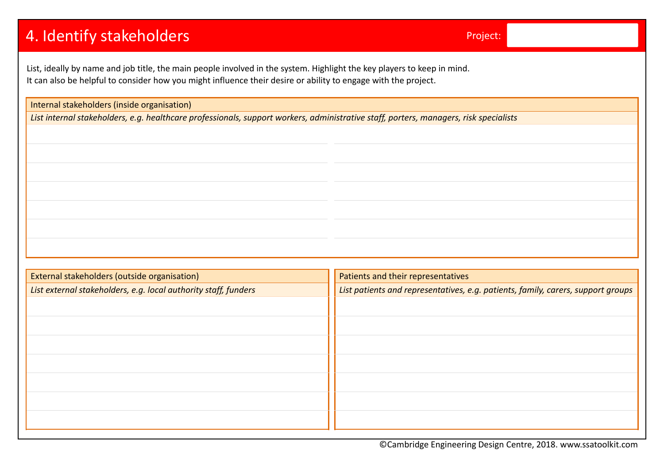# 4. Identify stakeholders experience of the state of the Project:

List, ideally by name and job title, the main people involved in the system. Highlight the key players to keep in mind. It can also be helpful to consider how you might influence their desire or ability to engage with the project.

Internal stakeholders (inside organisation)

List internal stakeholders, e.g. healthcare professionals, support workers, administrative staff, porters, managers, risk specialists

| External stakeholders (outside organisation)                    | Patients and their representatives                                               |
|-----------------------------------------------------------------|----------------------------------------------------------------------------------|
| List external stakeholders, e.g. local authority staff, funders | List patients and representatives, e.g. patients, family, carers, support groups |
|                                                                 |                                                                                  |
|                                                                 |                                                                                  |
|                                                                 |                                                                                  |
|                                                                 |                                                                                  |
|                                                                 |                                                                                  |
|                                                                 |                                                                                  |
|                                                                 |                                                                                  |
|                                                                 |                                                                                  |
|                                                                 |                                                                                  |
|                                                                 |                                                                                  |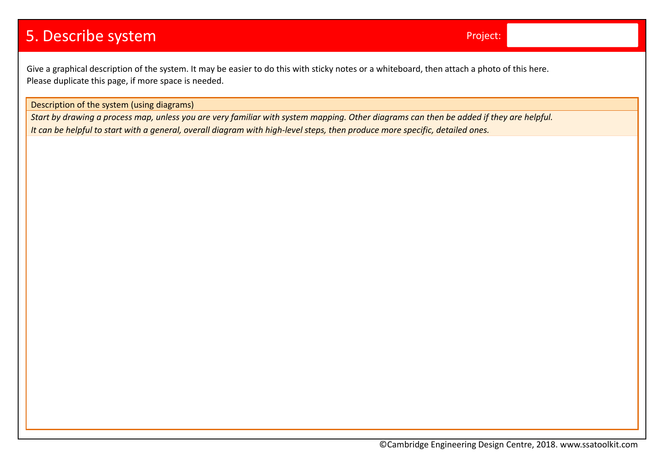# 5. Describe system Project:

Give <sup>a</sup> graphical description of the system. It may be easier to do this with sticky notes or <sup>a</sup> whiteboard, then attach <sup>a</sup> photo of this here. Please duplicate this page, if more space is needed.

Description of the system (using diagrams)

Start by drawing a process map, unless you are very familiar with system mapping. Other diagrams can then be added if they are helpful. It can be helpful to start with a general, overall diagram with high-level steps, then produce more specific, detailed ones.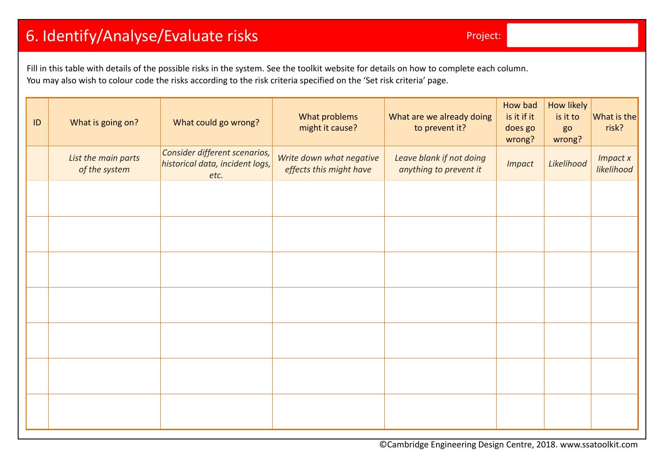# 6. Identify/Analyse/Evaluate risks Project:

Fill in this table with details of the possible risks in the system. See the toolkit website for details on how to complete each column. You may also wish to colour code the risks according to the risk criteria specified on the 'Set risk criteria' page.

| ID | What is going on?                    | What could go wrong?                                                     | What problems<br>might it cause?                    | What are we already doing<br>to prevent it?        | How bad<br>is it if it<br>does go<br>wrong? | How likely<br>is it to<br>go<br>wrong? | What is the<br>risk?          |
|----|--------------------------------------|--------------------------------------------------------------------------|-----------------------------------------------------|----------------------------------------------------|---------------------------------------------|----------------------------------------|-------------------------------|
|    | List the main parts<br>of the system | Consider different scenarios,<br>historical data, incident logs,<br>etc. | Write down what negative<br>effects this might have | Leave blank if not doing<br>anything to prevent it | <b>Impact</b>                               | Likelihood                             | <b>Impact x</b><br>likelihood |
|    |                                      |                                                                          |                                                     |                                                    |                                             |                                        |                               |
|    |                                      |                                                                          |                                                     |                                                    |                                             |                                        |                               |
|    |                                      |                                                                          |                                                     |                                                    |                                             |                                        |                               |
|    |                                      |                                                                          |                                                     |                                                    |                                             |                                        |                               |
|    |                                      |                                                                          |                                                     |                                                    |                                             |                                        |                               |
|    |                                      |                                                                          |                                                     |                                                    |                                             |                                        |                               |
|    |                                      |                                                                          |                                                     |                                                    |                                             |                                        |                               |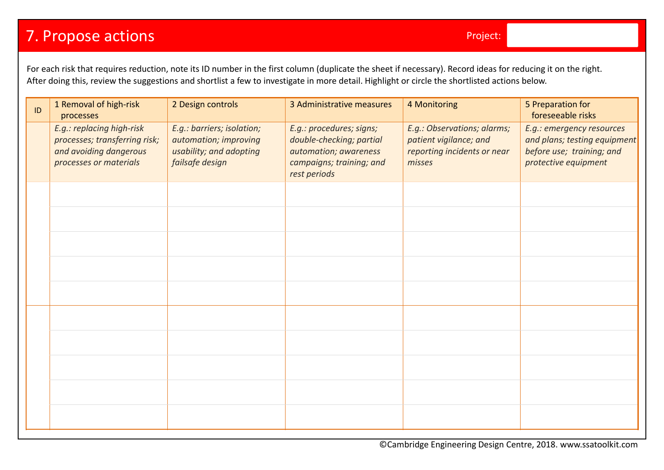# **7. Propose actions Project:** Propose actions Project: Project: Project: Project: Project: Project: Project: Pro

For each risk that requires reduction, note its ID number in the first column (duplicate the sheet if necessary). Record ideas for reducing it on the right. After doing this, review the suggestions and shortlist <sup>a</sup> few to investigate in more detail. Highlight or circle the shortlisted actions below.

| ID | 1 Removal of high-risk<br>processes                                                                            | 2 Design controls                                                                                 | 3 Administrative measures                                                                                                 | 4 Monitoring                                                                                   | 5 Preparation for<br>foreseeable risks                                                                         |
|----|----------------------------------------------------------------------------------------------------------------|---------------------------------------------------------------------------------------------------|---------------------------------------------------------------------------------------------------------------------------|------------------------------------------------------------------------------------------------|----------------------------------------------------------------------------------------------------------------|
|    | E.g.: replacing high-risk<br>processes; transferring risk;<br>and avoiding dangerous<br>processes or materials | E.g.: barriers; isolation;<br>automation; improving<br>usability; and adopting<br>failsafe design | E.g.: procedures; signs;<br>double-checking; partial<br>automation; awareness<br>campaigns; training; and<br>rest periods | E.g.: Observations; alarms;<br>patient vigilance; and<br>reporting incidents or near<br>misses | E.g.: emergency resources<br>and plans; testing equipment<br>before use; training; and<br>protective equipment |
|    |                                                                                                                |                                                                                                   |                                                                                                                           |                                                                                                |                                                                                                                |
|    |                                                                                                                |                                                                                                   |                                                                                                                           |                                                                                                |                                                                                                                |
|    |                                                                                                                |                                                                                                   |                                                                                                                           |                                                                                                |                                                                                                                |
|    |                                                                                                                |                                                                                                   |                                                                                                                           |                                                                                                |                                                                                                                |
|    |                                                                                                                |                                                                                                   |                                                                                                                           |                                                                                                |                                                                                                                |
|    |                                                                                                                |                                                                                                   |                                                                                                                           |                                                                                                |                                                                                                                |
|    |                                                                                                                |                                                                                                   |                                                                                                                           |                                                                                                |                                                                                                                |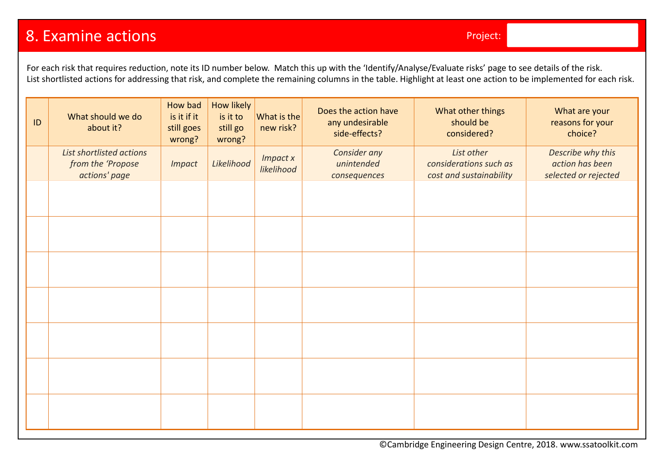## 8. Examine actions

For each risk that requires reduction, note its ID number below. Match this up with the 'Identify/Analyse/Evaluate risks' page to see details of the risk. List shortlisted actions for addressing that risk, and complete the remaining columns in the table. Highlight at least one action to be implemented for each risk.

| ID | What should we do<br>about it?                                 | How bad<br>is it if it<br>still goes<br>wrong? | How likely<br>is it to<br>still go<br>wrong? | What is the<br>new risk?      | Does the action have<br>any undesirable<br>side-effects? | What other things<br>should be<br>considered?                   | What are your<br>reasons for your<br>choice?                 |
|----|----------------------------------------------------------------|------------------------------------------------|----------------------------------------------|-------------------------------|----------------------------------------------------------|-----------------------------------------------------------------|--------------------------------------------------------------|
|    | List shortlisted actions<br>from the 'Propose<br>actions' page | <b>Impact</b>                                  | Likelihood                                   | <b>Impact x</b><br>likelihood | Consider any<br>unintended<br>consequences               | List other<br>considerations such as<br>cost and sustainability | Describe why this<br>action has been<br>selected or rejected |
|    |                                                                |                                                |                                              |                               |                                                          |                                                                 |                                                              |
|    |                                                                |                                                |                                              |                               |                                                          |                                                                 |                                                              |
|    |                                                                |                                                |                                              |                               |                                                          |                                                                 |                                                              |
|    |                                                                |                                                |                                              |                               |                                                          |                                                                 |                                                              |
|    |                                                                |                                                |                                              |                               |                                                          |                                                                 |                                                              |
|    |                                                                |                                                |                                              |                               |                                                          |                                                                 |                                                              |
|    |                                                                |                                                |                                              |                               |                                                          |                                                                 |                                                              |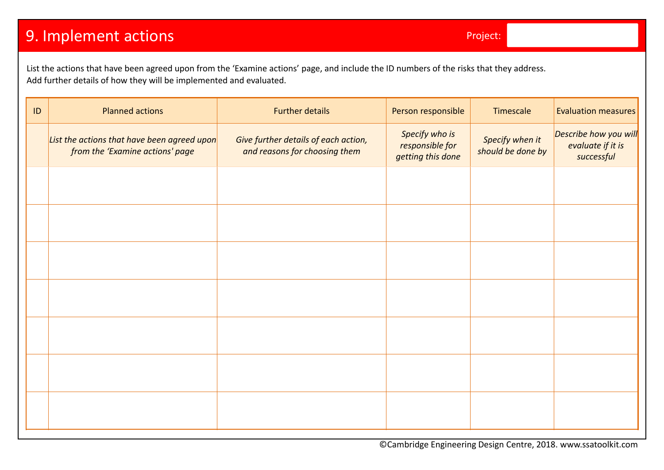# **9. Implement actions Project:** Project:

List the actions that have been agreed upon from the 'Examine actions' page, and include the ID numbers of the risks that they address. Add further details of how they will be implemented and evaluated.

| $\sf ID$ | <b>Planned actions</b>                                                         | <b>Further details</b>                                                | Person responsible                                     | Timescale                            | <b>Evaluation measures</b>                               |
|----------|--------------------------------------------------------------------------------|-----------------------------------------------------------------------|--------------------------------------------------------|--------------------------------------|----------------------------------------------------------|
|          | List the actions that have been agreed upon<br>from the 'Examine actions' page | Give further details of each action,<br>and reasons for choosing them | Specify who is<br>responsible for<br>getting this done | Specify when it<br>should be done by | Describe how you will<br>evaluate if it is<br>successful |
|          |                                                                                |                                                                       |                                                        |                                      |                                                          |
|          |                                                                                |                                                                       |                                                        |                                      |                                                          |
|          |                                                                                |                                                                       |                                                        |                                      |                                                          |
|          |                                                                                |                                                                       |                                                        |                                      |                                                          |
|          |                                                                                |                                                                       |                                                        |                                      |                                                          |
|          |                                                                                |                                                                       |                                                        |                                      |                                                          |
|          |                                                                                |                                                                       |                                                        |                                      |                                                          |